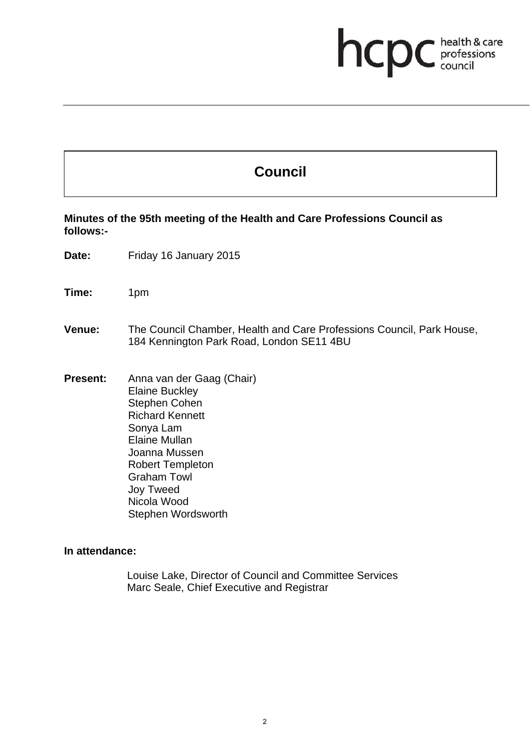# **health & care**

# **Council**

**Minutes of the 95th meeting of the Health and Care Professions Council as follows:-** 

**Date:** Friday 16 January 2015

**Time:** 1pm

**Venue:** The Council Chamber, Health and Care Professions Council, Park House, 184 Kennington Park Road, London SE11 4BU

**Present:** Anna van der Gaag (Chair) Elaine Buckley Stephen Cohen Richard Kennett Sonya Lam Elaine Mullan Joanna Mussen Robert Templeton Graham Towl Joy Tweed Nicola Wood Stephen Wordsworth

## **In attendance:**

Louise Lake, Director of Council and Committee Services Marc Seale, Chief Executive and Registrar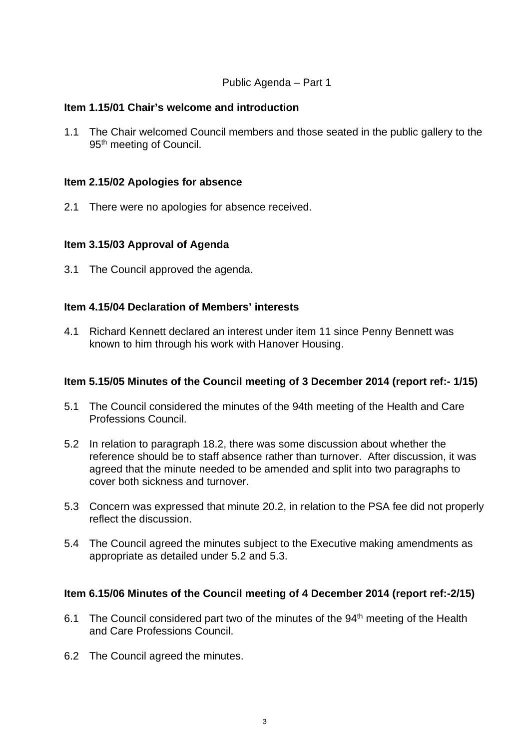#### Public Agenda – Part 1

#### **Item 1.15/01 Chair's welcome and introduction**

1.1 The Chair welcomed Council members and those seated in the public gallery to the 95<sup>th</sup> meeting of Council.

#### **Item 2.15/02 Apologies for absence**

2.1 There were no apologies for absence received.

#### **Item 3.15/03 Approval of Agenda**

3.1 The Council approved the agenda.

#### **Item 4.15/04 Declaration of Members' interests**

4.1 Richard Kennett declared an interest under item 11 since Penny Bennett was known to him through his work with Hanover Housing.

#### **Item 5.15/05 Minutes of the Council meeting of 3 December 2014 (report ref:- 1/15)**

- 5.1 The Council considered the minutes of the 94th meeting of the Health and Care Professions Council.
- 5.2 In relation to paragraph 18.2, there was some discussion about whether the reference should be to staff absence rather than turnover. After discussion, it was agreed that the minute needed to be amended and split into two paragraphs to cover both sickness and turnover.
- 5.3 Concern was expressed that minute 20.2, in relation to the PSA fee did not properly reflect the discussion.
- 5.4 The Council agreed the minutes subject to the Executive making amendments as appropriate as detailed under 5.2 and 5.3.

#### **Item 6.15/06 Minutes of the Council meeting of 4 December 2014 (report ref:-2/15)**

- 6.1 The Council considered part two of the minutes of the 94<sup>th</sup> meeting of the Health and Care Professions Council.
- 6.2 The Council agreed the minutes.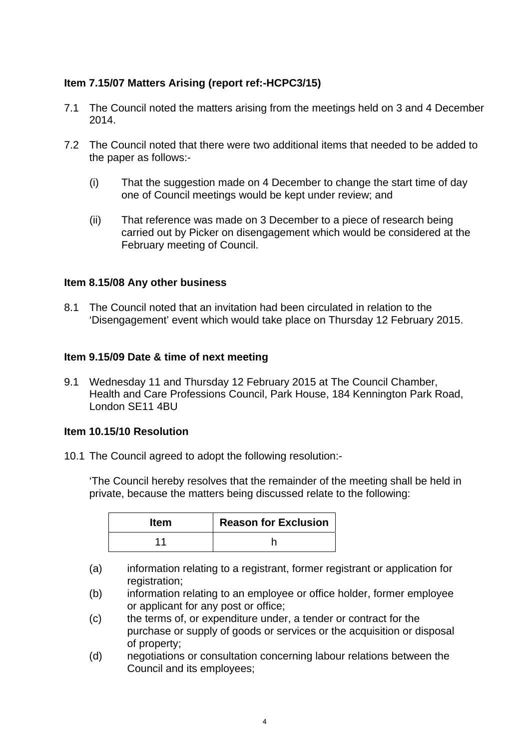# **Item 7.15/07 Matters Arising (report ref:-HCPC3/15)**

- 7.1 The Council noted the matters arising from the meetings held on 3 and 4 December 2014.
- 7.2 The Council noted that there were two additional items that needed to be added to the paper as follows:-
	- (i) That the suggestion made on 4 December to change the start time of day one of Council meetings would be kept under review; and
	- (ii) That reference was made on 3 December to a piece of research being carried out by Picker on disengagement which would be considered at the February meeting of Council.

## **Item 8.15/08 Any other business**

8.1 The Council noted that an invitation had been circulated in relation to the 'Disengagement' event which would take place on Thursday 12 February 2015.

## **Item 9.15/09 Date & time of next meeting**

9.1 Wednesday 11 and Thursday 12 February 2015 at The Council Chamber, Health and Care Professions Council, Park House, 184 Kennington Park Road, London SE11 4BU

# **Item 10.15/10 Resolution**

10.1 The Council agreed to adopt the following resolution:-

'The Council hereby resolves that the remainder of the meeting shall be held in private, because the matters being discussed relate to the following:

| <b>Item</b> | <b>Reason for Exclusion</b> |
|-------------|-----------------------------|
|             |                             |

- (a) information relating to a registrant, former registrant or application for registration;
- (b) information relating to an employee or office holder, former employee or applicant for any post or office;
- (c) the terms of, or expenditure under, a tender or contract for the purchase or supply of goods or services or the acquisition or disposal of property;
- (d) negotiations or consultation concerning labour relations between the Council and its employees;